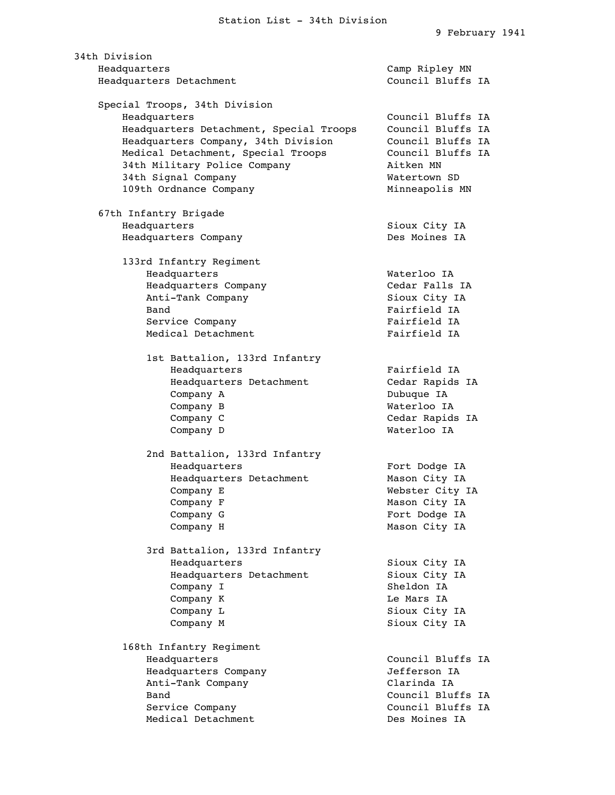34th Division Headquarters Camp Ripley MN Headquarters Detachment Council Bluffs IA Special Troops, 34th Division Headquarters Council Bluffs IA Headquarters Detachment, Special Troops Council Bluffs IA Headquarters Company, 34th Division Council Bluffs IA Medical Detachment, Special Troops Council Bluffs IA 34th Military Police Company Aitken MN 34th Signal Company Matertown SD 109th Ordnance Company Minneapolis MN 67th Infantry Brigade Headquarters Sioux City IA Headquarters Company **Des Moines IA**  133rd Infantry Regiment Headquarters Waterloo IA Headquarters Company Cedar Falls IA Anti-Tank Company Sioux City IA Band Fairfield IA Service Company **Fairfield IA** Medical Detachment Fairfield IA 1st Battalion, 133rd Infantry Headquarters Fairfield IA Headquarters Detachment Cedar Rapids IA Company A Dubuque IA Company B Waterloo IA Company C Company C Cedar Rapids IA Company D Waterloo IA 2nd Battalion, 133rd Infantry Headquarters Fort Dodge IA Headquarters Detachment Mason City IA Company E Webster City IA Company F Mason City IA Company G Fort Dodge IA Company H Mason City IA 3rd Battalion, 133rd Infantry Headquarters Sioux City IA Headquarters Detachment Sioux City IA Company I Sheldon IA Company K Le Mars IA Company L Sioux City IA Company M Sioux City IA 168th Infantry Regiment Headquarters Council Bluffs IA Headquarters Company Jefferson IA Anti-Tank Company **Clarinda IA**  Band Council Bluffs IA Service Company **Council Bluffs** IA Medical Detachment **Des Moines** IA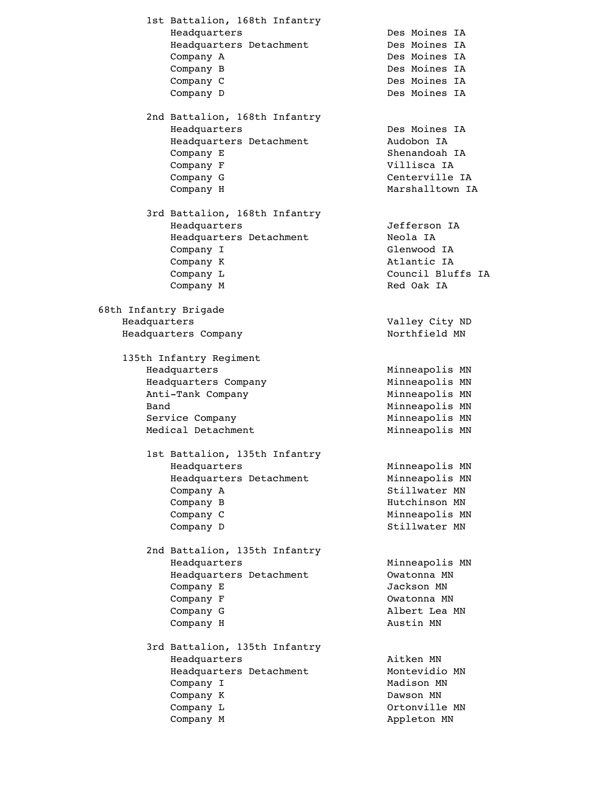1st Battalion, 168th Infantry Headquarters Des Moines IA Headquarters Detachment Des Moines IA Company A Des Moines IA Company B Des Moines IA Company C Des Moines IA Company D Des Moines IA 2nd Battalion, 168th Infantry Headquarters Des Moines IA Headquarters Detachment Mudobon IA Company E Shenandoah IA Company F Villisca IA Company G Centerville IA Company H Marshalltown IA 3rd Battalion, 168th Infantry Headquarters Jefferson IA Headquarters Detachment Meola IA Company I Glenwood IA Company K Atlantic IA Company L Council Bluffs IA Company M Red Oak IA 68th Infantry Brigade Headquarters Valley City ND Headquarters Company 1999 and Northfield MN 135th Infantry Regiment Headquarters Minneapolis MN Headquarters Company Minneapolis MN Anti-Tank Company Minneapolis MN Band Minneapolis MN Service Company **Minneapolis MN** Medical Detachment Minneapolis MN 1st Battalion, 135th Infantry Headquarters Minneapolis MN Headquarters Detachment Minneapolis MN Company A Stillwater MN Company B Hutchinson MN Company C Minneapolis MN Company D Stillwater MN 2nd Battalion, 135th Infantry Headquarters Minneapolis MN Headquarters Detachment Component Owatonna MN Company E Jackson MN Company F Company Company F Company G and Albert Lea MN Company H Austin MN 3rd Battalion, 135th Infantry Headquarters **Aitken MN** Headquarters Detachment Montevidio MN Company I Madison MN Company K Dawson MN Company L Company L Company M Appleton MN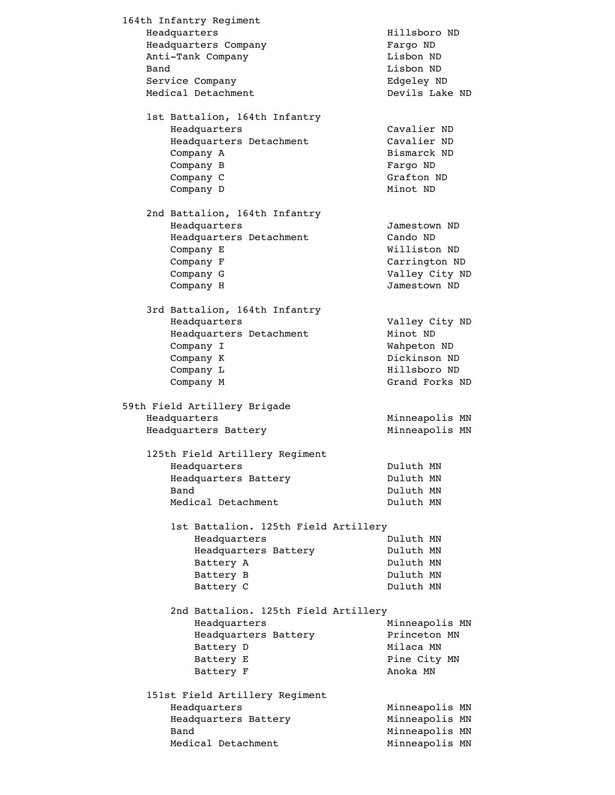164th Infantry Regiment Headquarters **Hillsboro** ND Headquarters Company Fargo ND Anti-Tank Company **Lisbon** ND Band Lisbon ND Service Company **Edgeley ND**  Medical Detachment Devils Lake ND 1st Battalion, 164th Infantry Headquarters Cavalier ND Headquarters Detachment Cavalier ND Company A Bismarck ND Company B Fargo ND Company C Grafton ND Company D Minot ND 2nd Battalion, 164th Infantry Headquarters Jamestown ND Headquarters Detachment Cando ND Company E Williston ND Company F Company Carrington ND Company G Valley City ND Company H Jamestown ND 3rd Battalion, 164th Infantry Headquarters Valley City ND Headquarters Detachment Minot ND Company I Wahpeton ND Company K Dickinson ND Company L **Hillsboro ND** Company M Grand Forks ND 59th Field Artillery Brigade Headquarters **Minneapolis MN** Headquarters Battery Minneapolis MN 125th Field Artillery Regiment Headquarters Duluth MN Headquarters Battery **Duluth MN** Band Duluth MN Medical Detachment Duluth MN 1st Battalion. 125th Field Artillery Headquarters Duluth MN Headquarters Battery **Duluth MN** Battery A Duluth MN Battery B Duluth MN Battery C Duluth MN 2nd Battalion. 125th Field Artillery Headquarters Minneapolis MN Headquarters Battery **Princeton MN** Battery D Milaca MN Battery E Pine City MN Battery F Anoka MN 151st Field Artillery Regiment Headquarters Minneapolis MN Headquarters Battery Minneapolis MN Band Minneapolis MN Medical Detachment Minneapolis MN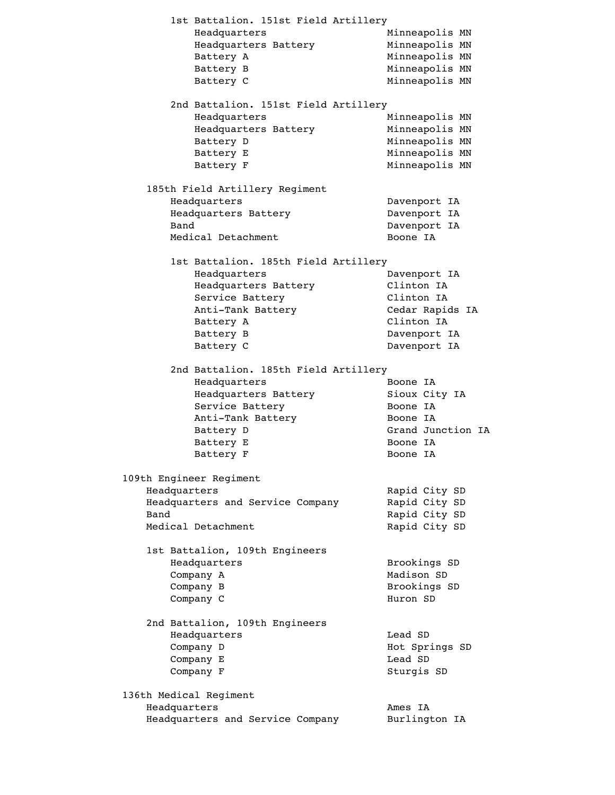1st Battalion. 151st Field Artillery Headquarters<br>
Headquarters Battery<br>
Minneapolis MN Headquarters Battery Battery A Minneapolis MN Battery B Minneapolis MN Battery C Minneapolis MN 2nd Battalion. 151st Field Artillery Headquarters Minneapolis MN Headquarters Battery Headquarters Battery Minneapolis MN<br>Battery D Minneapolis MN Battery E Minneapolis MN Battery F Minneapolis MN 185th Field Artillery Regiment Headquarters Davenport IA Headquarters Battery Davenport IA Band Davenport IA Medical Detachment Boone IA 1st Battalion. 185th Field Artillery Headquarters Davenport IA Headquarters Battery Clinton IA Service Battery **Service Battery** Clinton IA Anti-Tank Battery Cedar Rapids IA Battery A Clinton IA Battery B Davenport IA Battery C Davenport IA 2nd Battalion. 185th Field Artillery Headquarters Boone IA Headquarters Battery Sioux City IA Service Battery The Boone IA Anti-Tank Battery Boone IA Battery D Grand Junction IA Battery E Boone IA Battery F Boone IA 109th Engineer Regiment Headquarters Rapid City SD Headquarters and Service Company Rapid City SD Band Rapid City SD Medical Detachment Rapid City SD 1st Battalion, 109th Engineers Headquarters Brookings SD Company A Madison SD Company B Brookings SD Company C Huron SD 2nd Battalion, 109th Engineers Headquarters Lead SD Company D Hot Springs SD Company E Lead SD Company F Sturgis SD 136th Medical Regiment Headquarters **Ames** IA Headquarters and Service Company Burlington IA